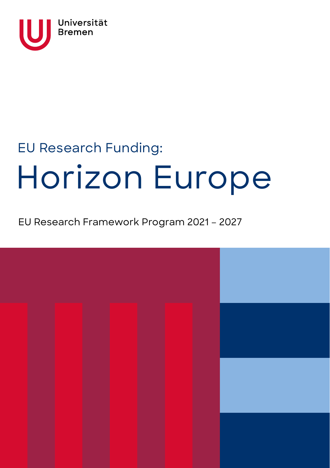

# EU Research Funding: Horizon Europe

# EU Research Framework Program 2021 – 2027

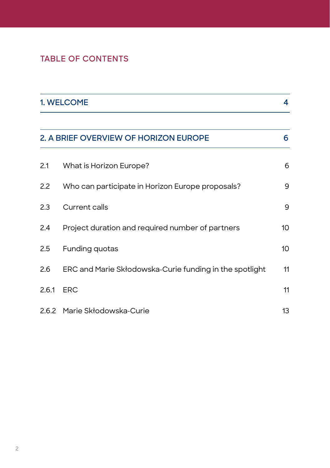# **TABLE OF CONTENTS**

|                                            | 1. WELCOME                                              |    |  |  |
|--------------------------------------------|---------------------------------------------------------|----|--|--|
| 2. A BRIEF OVERVIEW OF HORIZON EUROPE<br>6 |                                                         |    |  |  |
| 2.1                                        | What is Horizon Europe?                                 | 6  |  |  |
| 2.2                                        | Who can participate in Horizon Europe proposals?        | 9  |  |  |
| 2.3                                        | <b>Current calls</b>                                    | 9  |  |  |
| 2.4                                        | Project duration and required number of partners        | 10 |  |  |
| 2.5                                        | Funding quotas                                          | 10 |  |  |
| 2.6                                        | ERC and Marie Skłodowska-Curie funding in the spotlight | 11 |  |  |
| 2.6.1                                      | <b>ERC</b>                                              | 11 |  |  |
|                                            | 2.6.2 Marie Skłodowska-Curie                            | 13 |  |  |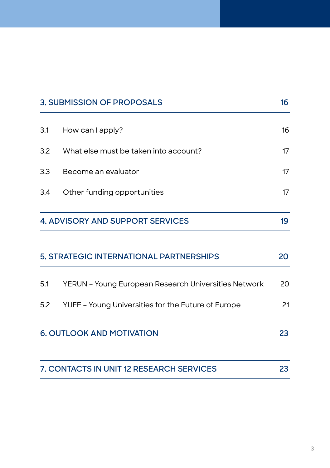| 3. SUBMISSION OF PROPOSALS |                                                        |    |  |  |
|----------------------------|--------------------------------------------------------|----|--|--|
| 3.1                        | How can I apply?                                       | 16 |  |  |
| 3.2                        | What else must be taken into account?                  | 17 |  |  |
| 3.3                        | Become an evaluator                                    |    |  |  |
| 3.4                        | Other funding opportunities                            |    |  |  |
|                            | <b>4. ADVISORY AND SUPPORT SERVICES</b>                | 19 |  |  |
|                            | 5. STRATEGIC INTERNATIONAL PARTNERSHIPS                | 20 |  |  |
| 5.1                        | YERUN - Young European Research Universities Network   | 20 |  |  |
|                            | 5.2 YUFE - Young Universities for the Future of Europe | 21 |  |  |
|                            | <b>6. OUTLOOK AND MOTIVATION</b>                       | 23 |  |  |
|                            | 7. CONTACTS IN UNIT 12 RESEARCH SERVICES               | 23 |  |  |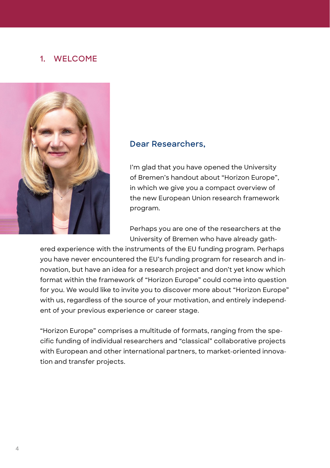## **1. WELCOME**



#### **Dear Researchers,**

I'm glad that you have opened the University of Bremen's handout about "Horizon Europe", in which we give you a compact overview of the new European Union research framework program.

Perhaps you are one of the researchers at the University of Bremen who have already gath-

ered experience with the instruments of the EU funding program. Perhaps you have never encountered the EU's funding program for research and innovation, but have an idea for a research project and don't yet know which format within the framework of "Horizon Europe" could come into question for you. We would like to invite you to discover more about "Horizon Europe" with us, regardless of the source of your motivation, and entirely independent of your previous experience or career stage.

"Horizon Europe" comprises a multitude of formats, ranging from the specific funding of individual researchers and "classical" collaborative projects with European and other international partners, to market-oriented innovation and transfer projects.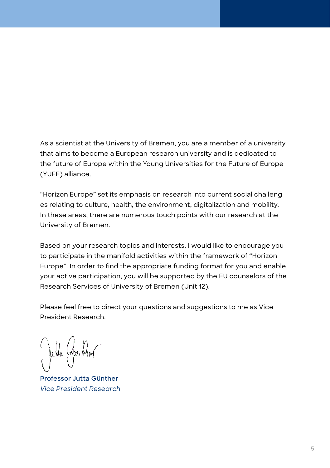As a scientist at the University of Bremen, you are a member of a university that aims to become a European research university and is dedicated to the future of Europe within the Young Universities for the Future of Europe (YUFE) alliance.

"Horizon Europe" set its emphasis on research into current social challenges relating to culture, health, the environment, digitalization and mobility. In these areas, there are numerous touch points with our research at the University of Bremen.

Based on your research topics and interests, I would like to encourage you to participate in the manifold activities within the framework of "Horizon Europe". In order to find the appropriate funding format for you and enable your active participation, you will be supported by the EU counselors of the Research Services of University of Bremen (Unit 12).

Please feel free to direct your questions and suggestions to me as Vice President Research.

**Professor Jutta Günther** *Vice President Research*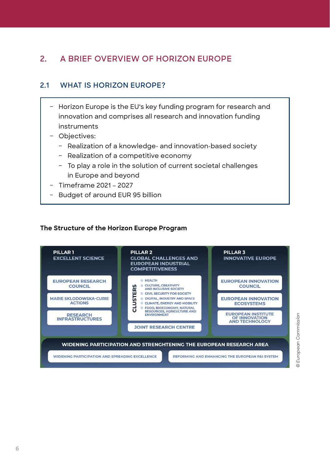# **2. A BRIEF OVERVIEW OF HORIZON EUROPE**

## **2.1 WHAT IS HORIZON EUROPE?**

- Horizon Europe is the EU's key funding program for research and innovation and comprises all research and innovation funding instruments
- Objectives:
	- Realization of a knowledge- and innovation-based society
	- Realization of a competitive economy
	- To play a role in the solution of current societal challenges in Europe and beyond
- ǿ Timeframe 2021 2027
- Budget of around EUR 95 billion

#### **The Structure of the Horizon Europe Program**



European Commission *© European Commission*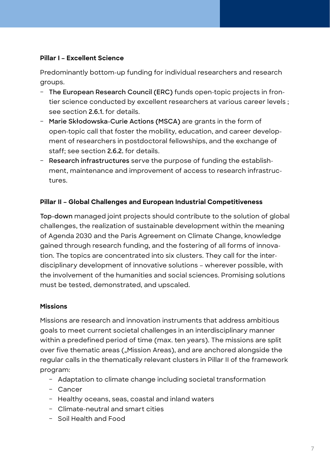#### **Pillar I – Excellent Science**

Predominantly bottom-up funding for individual researchers and research groups.

- ǿ **The European Research Council (ERC)** funds open-topic projects in frontier science conducted by excellent researchers at various career levels ; see section **2.6.1.** for details.
- Marie Skłodowska-Curie Actions (MSCA) are grants in the form of open-topic call that foster the mobility, education, and career development of researchers in postdoctoral fellowships, and the exchange of staff; see section **2.6.2.** for details.
- ǿ **Research infrastructures** serve the purpose of funding the establishment, maintenance and improvement of access to research infrastructures.

#### **Pillar II – Global Challenges and European Industrial Competitiveness**

**Top-down** managed joint projects should contribute to the solution of global challenges, the realization of sustainable development within the meaning of Agenda 2030 and the Paris Agreement on Climate Change, knowledge gained through research funding, and the fostering of all forms of innovation. The topics are concentrated into six clusters. They call for the interdisciplinary development of innovative solutions – wherever possible, with the involvement of the humanities and social sciences. Promising solutions must be tested, demonstrated, and upscaled.

#### **Missions**

Missions are research and innovation instruments that address ambitious goals to meet current societal challenges in an interdisciplinary manner within a predefined period of time (max. ten years). The missions are split over five thematic areas ("Mission Areas), and are anchored alongside the regular calls in the thematically relevant clusters in Pillar II of the framework program:

- Adaptation to climate change including societal transformation
- Cancer
- Healthy oceans, seas, coastal and inland waters
- ǿ Climate-neutral and smart cities
- Soil Health and Food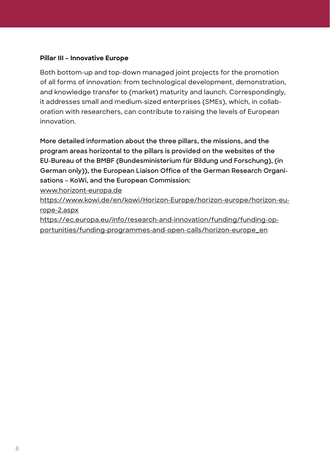#### **Pillar III – Innovative Europe**

Both bottom-up and top-down managed joint projects for the promotion of all forms of innovation: from technological development, demonstration, and knowledge transfer to (market) maturity and launch. Correspondingly, it addresses small and medium-sized enterprises (SMEs), which, in collaboration with researchers, can contribute to raising the levels of European innovation.

**More detailed information about the three pillars, the missions, and the program areas horizontal to the pillars is provided on the websites of the EU-Bureau of the BMBF (Bundesministerium für Bildung und Forschung), (in German only)), the European Liaison Office of the German Research Organisations – KoWi, and the European Commission:** 

[www.horizont-europa.de](http://www.horizont-europa.de)

[https://www.kowi.de/en/kowi/Horizon-Europe/horizon-europe/horizon-eu](https://www.kowi.de/en/kowi/Horizon-Europe/horizon-europe/horizon-europe-2.aspx)[rope-2.aspx](https://www.kowi.de/en/kowi/Horizon-Europe/horizon-europe/horizon-europe-2.aspx)

[https://ec.europa.eu/info/research-and-innovation/funding/funding-op](https://ec.europa.eu/info/research-and-innovation/funding/funding-opportunities/funding-programmes-and-open-calls/horizon-europe_en)[portunities/funding-programmes-and-open-calls/horizon-europe\\_en](https://ec.europa.eu/info/research-and-innovation/funding/funding-opportunities/funding-programmes-and-open-calls/horizon-europe_en)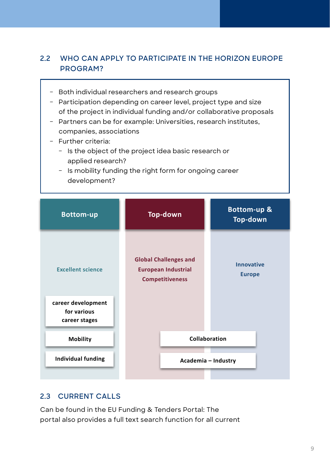## **2.2 WHO CAN APPLY TO PARTICIPATE IN THE HORIZON EUROPE PROGRAM?**

- Both individual researchers and research groups
- Participation depending on career level, project type and size of the project in individual funding and/or collaborative proposals
- Partners can be for example: Universities, research institutes, companies, associations
- Further criteria:
	- Is the object of the project idea basic research or applied research?
	- Is mobility funding the right form for ongoing career development?



## **2.3 CURRENT CALLS**

Can be found in the EU Funding & Tenders Portal: The portal also provides a full text search function for all current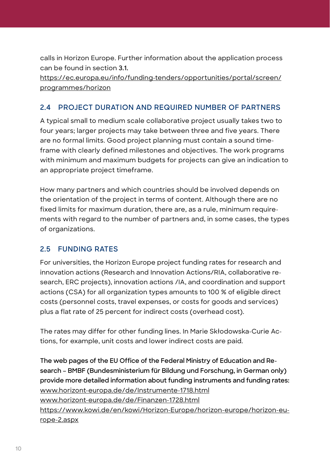calls in Horizon Europe. Further information about the application process can be found in section **3.1.**

[https://ec.europa.eu/info/funding-tenders/opportunities/portal/screen/](https://ec.europa.eu/info/funding-tenders/opportunities/portal/screen/programmes/horizon) [programmes/horizon](https://ec.europa.eu/info/funding-tenders/opportunities/portal/screen/programmes/horizon)

## **2.4 PROJECT DURATION AND REQUIRED NUMBER OF PARTNERS**

A typical small to medium scale collaborative project usually takes two to four years; larger projects may take between three and five years. There are no formal limits. Good project planning must contain a sound timeframe with clearly defined milestones and objectives. The work programs with minimum and maximum budgets for projects can give an indication to an appropriate project timeframe.

How many partners and which countries should be involved depends on the orientation of the project in terms of content. Although there are no fixed limits for maximum duration, there are, as a rule, minimum requirements with regard to the number of partners and, in some cases, the types of organizations.

## **2.5 FUNDING RATES**

For universities, the Horizon Europe project funding rates for research and innovation actions (Research and Innovation Actions/RIA, collaborative research, ERC projects), innovation actions /IA, and coordination and support actions (CSA) for all organization types amounts to 100 % of eligible direct costs (personnel costs, travel expenses, or costs for goods and services) plus a flat rate of 25 percent for indirect costs (overhead cost).

The rates may differ for other funding lines. In Marie Skłodowska-Curie Actions, for example, unit costs and lower indirect costs are paid.

**The web pages of the EU Office of the Federal Ministry of Education and Research – BMBF (Bundesministerium für Bildung und Forschung, in German only) provide more detailed information about funding instruments and funding rates:**  [www.horizont-europa.de/de/Instrumente-1718.html](http://www.horizont-europa.de/de/Instrumente-1718.html) [www.horizont-europa.de/de/Finanzen-1728.html](http://www.horizont-europa.de/de/Finanzen-1728.html) [https://www.kowi.de/en/kowi/Horizon-Europe/horizon-europe/horizon-eu](https://www.kowi.de/en/kowi/Horizon-Europe/horizon-europe/horizon-europe-2.aspx)[rope-2.aspx](https://www.kowi.de/en/kowi/Horizon-Europe/horizon-europe/horizon-europe-2.aspx)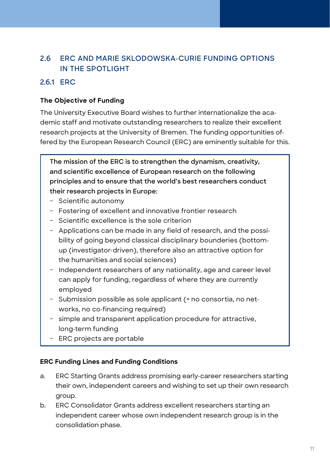## **2.6 ERC AND MARIE SKLODOWSKA-CURIE FUNDING OPTIONS IN THE SPOTLIGHT**

## **2.6.1 ERC**

#### **The Objective of Funding**

The University Executive Board wishes to further internationalize the academic staff and motivate outstanding researchers to realize their excellent research projects at the University of Bremen. The funding opportunities offered by the European Research Council (ERC) are eminently suitable for this.

**The mission of the ERC is to strengthen the dynamism, creativity, and scientific excellence of European research on the following principles and to ensure that the world's best researchers conduct their research projects in Europe:**

- Scientific autonomy
- Fostering of excellent and innovative frontier research
- Scientific excellence is the sole criterion
- Applications can be made in any field of research, and the possibility of going beyond classical disciplinary bounderies (bottomup (investigator-driven), therefore also an attractive option for the humanities and social sciences)
- Independent researchers of any nationality, age and career level can apply for funding, regardless of where they are currently employed
- Submission possible as sole applicant (= no consortia, no networks, no co-financing required)
- simple and transparent application procedure for attractive, long-term funding
- ERC projects are portable

#### **ERC Funding Lines and Funding Conditions**

- a. ERC Starting Grants address promising early-career researchers starting their own, independent careers and wishing to set up their own research group.
- b. ERC Consolidator Grants address excellent researchers starting an independent career whose own independent research group is in the consolidation phase.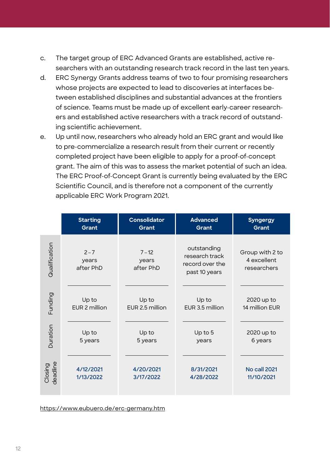- c. The target group of ERC Advanced Grants are established, active researchers with an outstanding research track record in the last ten years.
- d. ERC Synergy Grants address teams of two to four promising researchers whose projects are expected to lead to discoveries at interfaces between established disciplines and substantial advances at the frontiers of science. Teams must be made up of excellent early-career researchers and established active researchers with a track record of outstanding scientific achievement.
- e. Up until now, researchers who already hold an ERC grant and would like to pre-commercialize a research result from their current or recently completed project have been eligible to apply for a proof-of-concept grant. The aim of this was to assess the market potential of such an idea. The ERC Proof-of-Concept Grant is currently being evaluated by the ERC Scientific Council, and is therefore not a component of the currently applicable ERC Work Program 2021.

|                     | <b>Starting</b>               | Consolidator                   | <b>Advanced</b>                                                   | <b>Syngergy</b>                               |
|---------------------|-------------------------------|--------------------------------|-------------------------------------------------------------------|-----------------------------------------------|
|                     | Grant                         | Grant                          | Grant                                                             | Grant                                         |
| Qualification       | $2 - 7$<br>years<br>after PhD | $7 - 12$<br>years<br>after PhD | outstanding<br>research track<br>record over the<br>past 10 years | Group with 2 to<br>4 excellent<br>researchers |
| Funding             | Up to                         | Up to                          | Up to                                                             | 2020 up to                                    |
|                     | EUR 2 million                 | EUR 2.5 million                | EUR 3.5 million                                                   | 14 million EUR                                |
| Duration            | Up to                         | Up to                          | Up to 5                                                           | 2020 up to                                    |
|                     | 5 years                       | 5 years                        | years                                                             | 6 years                                       |
| Closing<br>deadline | 4/12/2021                     | 4/20/2021                      | 8/31/2021                                                         | <b>No call 2021</b>                           |
|                     | 1/13/2022                     | 3/17/2022                      | 4/28/2022                                                         | 11/10/2021                                    |

<https://www.eubuero.de/erc-germany.htm>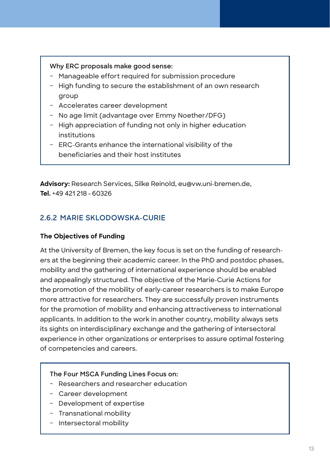#### **Why ERC proposals make good sense:**

- Manageable effort required for submission procedure
- High funding to secure the establishment of an own research group
- Accelerates career development
- No age limit (advantage over Emmy Noether/DFG)
- High appreciation of funding not only in higher education institutions
- ERC-Grants enhance the international visibility of the beneficiaries and their host institutes

**Advisory:** Research Services, Silke Reinold, eu@vw.uni-bremen.de, **Tel.** +49 421 218–60326

## **2.6.2 MARIE SKLODOWSKA-CURIE**

#### **The Objectives of Funding**

At the University of Bremen, the key focus is set on the funding of researchers at the beginning their academic career. In the PhD and postdoc phases, mobility and the gathering of international experience should be enabled and appealingly structured. The objective of the Marie-Curie Actions for the promotion of the mobility of early-career researchers is to make Europe more attractive for researchers. They are successfully proven instruments for the promotion of mobility and enhancing attractiveness to international applicants. In addition to the work in another country, mobility always sets its sights on interdisciplinary exchange and the gathering of intersectoral experience in other organizations or enterprises to assure optimal fostering of competencies and careers.

#### **The Four MSCA Funding Lines Focus on:**

- Researchers and researcher education
- Career development
- Development of expertise
- Transnational mobility
- Intersectoral mobility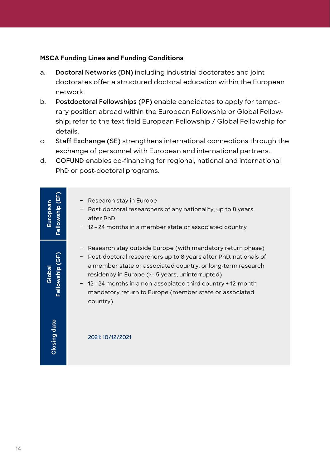#### **MSCA Funding Lines and Funding Conditions**

- a. **Doctoral Networks (DN)** including industrial doctorates and joint doctorates offer a structured doctoral education within the European network.
- b. **Postdoctoral Fellowships (PF)** enable candidates to apply for temporary position abroad within the European Fellowship or Global Fellowship; refer to the text field European Fellowship / Global Fellowship for details.
- c. **Staff Exchange (SE)** strengthens international connections through the exchange of personnel with European and international partners.
- d. **COFUND** enables co-financing for regional, national and international PhD or post-doctoral programs.

| Fellowship (EF)<br>European | Research stay in Europe<br>- Post-doctoral researchers of any nationality, up to 8 years<br>after PhD<br>- 12-24 months in a member state or associated country                                                                                                                                                                                                                                             |
|-----------------------------|-------------------------------------------------------------------------------------------------------------------------------------------------------------------------------------------------------------------------------------------------------------------------------------------------------------------------------------------------------------------------------------------------------------|
| Fellowship (GF)<br>Globa    | Research stay outside Europe (with mandatory return phase)<br>Post-doctoral researchers up to 8 years after PhD, nationals of<br>$\qquad \qquad -$<br>a member state or associated country, or long-term research<br>residency in Europe (>= 5 years, uninterrupted)<br>- 12 - 24 months in a non-associated third country + 12-month<br>mandatory return to Europe (member state or associated<br>country) |
| Closing date                | 2021: 10/12/2021                                                                                                                                                                                                                                                                                                                                                                                            |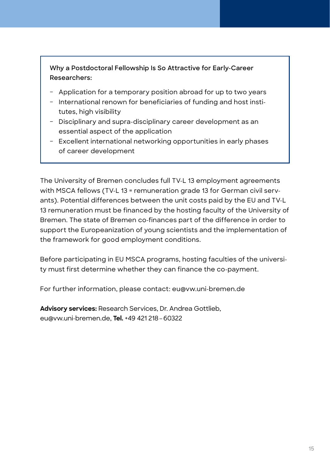**Why a Postdoctoral Fellowship Is So Attractive for Early-Career Researchers:** 

- Application for a temporary position abroad for up to two years
- International renown for beneficiaries of funding and host institutes, high visibility
- Disciplinary and supra-disciplinary career development as an essential aspect of the application
- Excellent international networking opportunities in early phases of career development

The University of Bremen concludes full TV-L 13 employment agreements with MSCA fellows (TV-L 13 = remuneration grade 13 for German civil servants). Potential differences between the unit costs paid by the EU and TV-L 13 remuneration must be financed by the hosting faculty of the University of Bremen. The state of Bremen co-finances part of the difference in order to support the Europeanization of young scientists and the implementation of the framework for good employment conditions.

Before participating in EU MSCA programs, hosting faculties of the university must first determine whether they can finance the co-payment.

For further information, please contact: eu@vw.uni-bremen.de

**Advisory services:** Research Services, Dr. Andrea Gottlieb, eu@vw.uni-bremen.de, **Tel.** +49 421 218–60322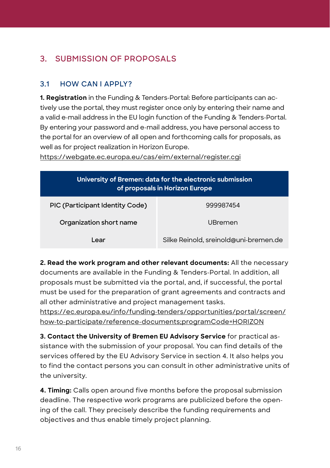# **3. SUBMISSION OF PROPOSALS**

## **3.1 HOW CAN I APPLY?**

**1. Registration** in the Funding & Tenders-Portal: Before participants can actively use the portal, they must register once only by entering their name and a valid e-mail address in the EU login function of the Funding & Tenders-Portal. By entering your password and e-mail address, you have personal access to the portal for an overview of all open and forthcoming calls for proposals, as well as for project realization in Horizon Europe.

<https://webgate.ec.europa.eu/cas/eim/external/register.cgi>

| University of Bremen: data for the electronic submission<br>of proposals in Horizon Europe |                                       |  |  |  |
|--------------------------------------------------------------------------------------------|---------------------------------------|--|--|--|
| PIC (Participant Identity Code)                                                            | 999987454                             |  |  |  |
| Organization short name                                                                    | UBremen                               |  |  |  |
| Lear                                                                                       | Silke Reinold, sreinold@uni-bremen.de |  |  |  |

**2. Read the work program and other relevant documents:** All the necessary documents are available in the Funding & Tenders-Portal. In addition, all proposals must be submitted via the portal, and, if successful, the portal must be used for the preparation of grant agreements and contracts and all other administrative and project management tasks.

[https://ec.europa.eu/info/funding-tenders/opportunities/portal/screen/](https://ec.europa.eu/info/funding-tenders/opportunities/portal/screen/how-to-participate/reference-documents;programCode=HORIZON) [how-to-participate/reference-documents;programCode=HORIZON](https://ec.europa.eu/info/funding-tenders/opportunities/portal/screen/how-to-participate/reference-documents;programCode=HORIZON)

**3. Contact the University of Bremen EU Advisory Service** for practical assistance with the submission of your proposal. You can find details of the services offered by the EU Advisory Service in section 4. It also helps you to find the contact persons you can consult in other administrative units of the university.

**4. Timing:** Calls open around five months before the proposal submission deadline. The respective work programs are publicized before the opening of the call. They precisely describe the funding requirements and objectives and thus enable timely project planning.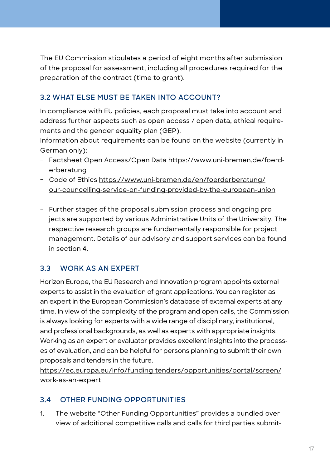The EU Commission stipulates a period of eight months after submission of the proposal for assessment, including all procedures required for the preparation of the contract (time to grant).

## **3.2 WHAT ELSE MUST BE TAKEN INTO ACCOUNT?**

In compliance with EU policies, each proposal must take into account and address further aspects such as open access / open data, ethical requirements and the gender equality plan (GEP).

Information about requirements can be found on the website (currently in German only):

- Factsheet Open Access/Open Data [https://www.uni-bremen.de/foerd](https://www.uni-bremen.de/foerderberatung)[erberatung](https://www.uni-bremen.de/foerderberatung)
- Code of Ethics [https://www.uni-bremen.de/en/foerderberatung/](https://www.uni-bremen.de/en/foerderberatung/our-councelling-service-on-funding-provided-by-the-european-union) [our-councelling-service-on-funding-provided-by-the-european-union](https://www.uni-bremen.de/en/foerderberatung/our-councelling-service-on-funding-provided-by-the-european-union)
- Further stages of the proposal submission process and ongoing projects are supported by various Administrative Units of the University. The respective research groups are fundamentally responsible for project management. Details of our advisory and support services can be found in section **4**.

## **3.3 WORK AS AN EXPERT**

Horizon Europe, the EU Research and Innovation program appoints external experts to assist in the evaluation of grant applications. You can register as an expert in the European Commission's database of external experts at any time. In view of the complexity of the program and open calls, the Commission is always looking for experts with a wide range of disciplinary, institutional, and professional backgrounds, as well as experts with appropriate insights. Working as an expert or evaluator provides excellent insights into the processes of evaluation, and can be helpful for persons planning to submit their own proposals and tenders in the future.

[https://ec.europa.eu/info/funding-tenders/opportunities/portal/screen/](https://ec.europa.eu/info/funding-tenders/opportunities/portal/screen/work-as-an-expert) [work-as-an-expert](https://ec.europa.eu/info/funding-tenders/opportunities/portal/screen/work-as-an-expert)

## **3.4 OTHER FUNDING OPPORTUNITIES**

1. The website "Other Funding Opportunities" provides a bundled overview of additional competitive calls and calls for third parties submit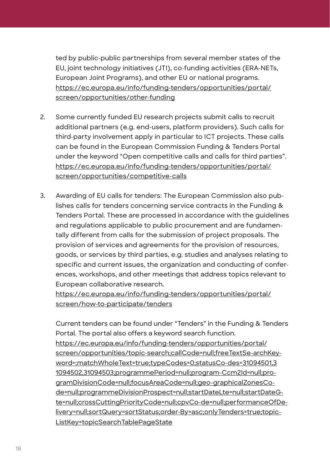ted by public-public partnerships from several member states of the EU, joint technology initiatives (JTI), co-funding activities (ERA-NETs, European Joint Programs), and other EU or national programs. [https://ec.europa.eu/info/funding-tenders/opportunities/portal/](https://ec.europa.eu/info/funding-tenders/opportunities/portal/screen/opportunities/other-funding) [screen/opportunities/other-funding](https://ec.europa.eu/info/funding-tenders/opportunities/portal/screen/opportunities/other-funding)

- 2. Some currently funded EU research projects submit calls to recruit additional partners (e.g. end-users, platform providers). Such calls for third-party involvement apply in particular to ICT projects. These calls can be found in the European Commission Funding & Tenders Portal under the keyword "Open competitive calls and calls for third parties". [https://ec.europa.eu/info/funding-tenders/opportunities/portal/](https://ec.europa.eu/info/funding-tenders/opportunities/portal/screen/opportunities/competitive-calls) [screen/opportunities/competitive-calls](https://ec.europa.eu/info/funding-tenders/opportunities/portal/screen/opportunities/competitive-calls)
- 3. Awarding of EU calls for tenders: The European Commission also publishes calls for tenders concerning service contracts in the Funding & Tenders Portal. These are processed in accordance with the guidelines and regulations applicable to public procurement and are fundamentally different from calls for the submission of project proposals. The provision of services and agreements for the provision of resources, goods, or services by third parties, e.g. studies and analyses relating to specific and current issues, the organization and conducting of conferences, workshops, and other meetings that address topics relevant to European collaborative research.

[https://ec.europa.eu/info/funding-tenders/opportunities/portal/](https://ec.europa.eu/info/funding-tenders/opportunities/portal/screen/how-to-participate/tenders) [screen/how-to-participate/tenders](https://ec.europa.eu/info/funding-tenders/opportunities/portal/screen/how-to-participate/tenders)

Current tenders can be found under "Tenders" in the Funding & Tenders Portal. The portal also offers a keyword search function. [https://ec.europa.eu/info/funding-tenders/opportunities/portal/](https://ec.europa.eu/info/funding-tenders/opportunities/portal/screen/opportunities/topic-search;cal) [screen/opportunities/topic-search;callCode=null;freeTextSe-archKey](https://ec.europa.eu/info/funding-tenders/opportunities/portal/screen/opportunities/topic-search;cal)[word=;matchWholeText=true;typeCodes=0;statusCo-des=31094501,3](https://ec.europa.eu/info/funding-tenders/opportunities/portal/screen/opportunities/topic-search;cal) [1094502,31094503;programmePeriod=null;program-Ccm2Id=null;pro](https://ec.europa.eu/info/funding-tenders/opportunities/portal/screen/opportunities/topic-search;cal)[gramDivisionCode=null;focusAreaCode=null;geo-graphicalZonesCo](https://ec.europa.eu/info/funding-tenders/opportunities/portal/screen/opportunities/topic-search;cal)[de=null;programmeDivisionProspect=null;startDateLte=null;startDateG](https://ec.europa.eu/info/funding-tenders/opportunities/portal/screen/opportunities/topic-search;cal)[te=null;crossCuttingPriorityCode=null;cpvCo-de=null;performanceOfDe](https://ec.europa.eu/info/funding-tenders/opportunities/portal/screen/opportunities/topic-search;cal)[livery=null;sortQuery=sortStatus;order-By=asc;onlyTenders=true;topic-](https://ec.europa.eu/info/funding-tenders/opportunities/portal/screen/opportunities/topic-search;cal)[ListKey=topicSearchTablePageState](https://ec.europa.eu/info/funding-tenders/opportunities/portal/screen/opportunities/topic-search;cal)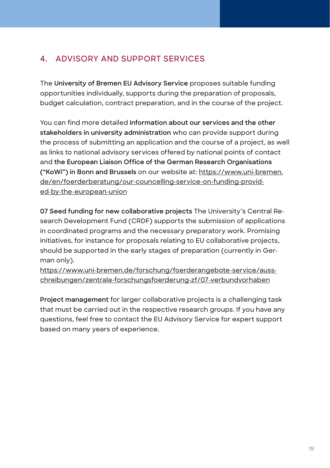# **4. ADVISORY AND SUPPORT SERVICES**

The **University of Bremen EU Advisory Service** proposes suitable funding opportunities individually, supports during the preparation of proposals, budget calculation, contract preparation, and in the course of the project.

You can find more detailed **information about our services and the other stakeholders in university administration** who can provide support during the process of submitting an application and the course of a project, as well as links to national advisory services offered by national points of contact and **the European Liaison Office of the German Research Organisations ("KoWi") in Bonn and Brussels** on our website at: [https://www.uni-bremen.](https://www.uni-bremen.de/en/foerderberatung/our-councelling-service-on-funding-provided-by-the-european-union) [de/en/foerderberatung/our-councelling-service-on-funding-provid](https://www.uni-bremen.de/en/foerderberatung/our-councelling-service-on-funding-provided-by-the-european-union)[ed-by-the-european-union](https://www.uni-bremen.de/en/foerderberatung/our-councelling-service-on-funding-provided-by-the-european-union)

**07 Seed funding for new collaborative projects** The University's Central Research Development Fund (CRDF) supports the submission of applications in coordinated programs and the necessary preparatory work. Promising initiatives, for instance for proposals relating to EU collaborative projects, should be supported in the early stages of preparation (currently in German only).

[https://www.uni-bremen.de/forschung/foerderangebote-service/auss](https://www.uni-bremen.de/forschung/foerderangebote-service/ausschreibungen/zentrale-forschungsfoerderung-zf/07-verbundvorhaben)[chreibungen/zentrale-forschungsfoerderung-zf/07-verbundvorhaben](https://www.uni-bremen.de/forschung/foerderangebote-service/ausschreibungen/zentrale-forschungsfoerderung-zf/07-verbundvorhaben)

**Project management** for larger collaborative projects is a challenging task that must be carried out in the respective research groups. If you have any questions, feel free to contact the EU Advisory Service for expert support based on many years of experience.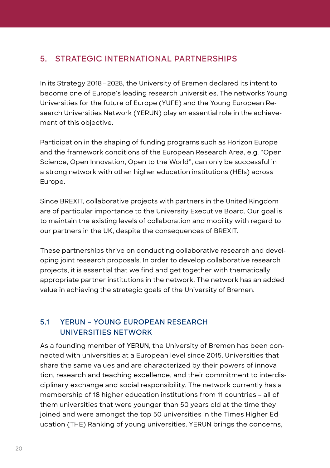## **5. STRATEGIC INTERNATIONAL PARTNERSHIPS**

In its Strategy 2018 – 2028, the University of Bremen declared its intent to become one of Europe's leading research universities. The networks Young Universities for the future of Europe (YUFE) and the Young European Research Universities Network (YERUN) play an essential role in the achievement of this objective.

Participation in the shaping of funding programs such as Horizon Europe and the framework conditions of the European Research Area, e.g. "Open Science, Open Innovation, Open to the World", can only be successful in a strong network with other higher education institutions (HEIs) across Europe.

Since BREXIT, collaborative projects with partners in the United Kingdom are of particular importance to the University Executive Board. Our goal is to maintain the existing levels of collaboration and mobility with regard to our partners in the UK, despite the consequences of BREXIT.

These partnerships thrive on conducting collaborative research and developing joint research proposals. In order to develop collaborative research projects, it is essential that we find and get together with thematically appropriate partner institutions in the network. The network has an added value in achieving the strategic goals of the University of Bremen.

### **5.1 YERUN – YOUNG EUROPEAN RESEARCH UNIVERSITIES NETWORK**

As a founding member of **YERUN**, the University of Bremen has been connected with universities at a European level since 2015. Universities that share the same values and are characterized by their powers of innovation, research and teaching excellence, and their commitment to interdisciplinary exchange and social responsibility. The network currently has a membership of 18 higher education institutions from 11 countries – all of them universities that were younger than 50 years old at the time they joined and were amongst the top 50 universities in the Times Higher Education (THE) Ranking of young universities. YERUN brings the concerns,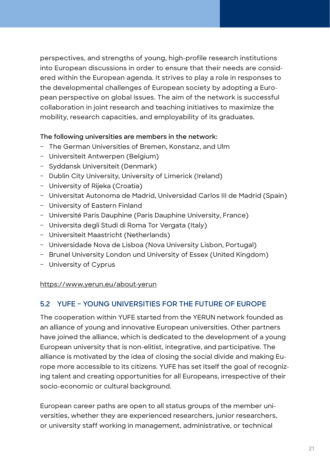perspectives, and strengths of young, high-profile research institutions into European discussions in order to ensure that their needs are considered within the European agenda. It strives to play a role in responses to the developmental challenges of European society by adopting a European perspective on global issues. The aim of the network is successful collaboration in joint research and teaching initiatives to maximize the mobility, research capacities, and employability of its graduates.

#### **The following universities are members in the network:**

- The German Universities of Bremen, Konstanz, and Ulm
- Universiteit Antwerpen (Belgium)
- Syddansk Universiteit (Denmark)
- Dublin City University, University of Limerick (Ireland)
- University of Rijeka (Croatia)
- Universitat Autonoma de Madrid, Universidad Carlos III de Madrid (Spain)
- University of Eastern Finland
- Université Paris Dauphine (Paris Dauphine University, France)
- Universita degli Studi di Roma Tor Vergata (Italy)
- Universiteit Maastricht (Netherlands)
- Universidade Nova de Lisboa (Nova University Lisbon, Portugal)
- Brunel University London und University of Essex (United Kingdom)
- University of Cyprus

<https://www.yerun.eu/about-yerun>

## **5.2 YUFE – YOUNG UNIVERSITIES FOR THE FUTURE OF EUROPE**

The cooperation within YUFE started from the YERUN network founded as an alliance of young and innovative European universities. Other partners have joined the alliance, which is dedicated to the development of a young European university that is non-elitist, integrative, and participative. The alliance is motivated by the idea of closing the social divide and making Europe more accessible to its citizens. YUFE has set itself the goal of recognizing talent and creating opportunities for all Europeans, irrespective of their socio-economic or cultural background.

European career paths are open to all status groups of the member universities, whether they are experienced researchers, junior researchers, or university staff working in management, administrative, or technical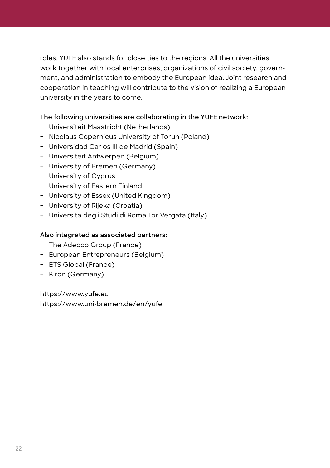roles. YUFE also stands for close ties to the regions. All the universities work together with local enterprises, organizations of civil society, government, and administration to embody the European idea. Joint research and cooperation in teaching will contribute to the vision of realizing a European university in the years to come.

#### **The following universities are collaborating in the YUFE network:**

- Universiteit Maastricht (Netherlands)
- Nicolaus Copernicus University of Torun (Poland)
- Universidad Carlos III de Madrid (Spain)
- Universiteit Antwerpen (Belgium)
- University of Bremen (Germany)
- University of Cyprus
- University of Eastern Finland
- University of Essex (United Kingdom)
- University of Rijeka (Croatia)
- Universita degli Studi di Roma Tor Vergata (Italy)

#### **Also integrated as associated partners:**

- The Adecco Group (France)
- European Entrepreneurs (Belgium)
- ETS Global (France)
- Kiron (Germany)

<https://www.yufe.eu> <https://www.uni-bremen.de/en/yufe>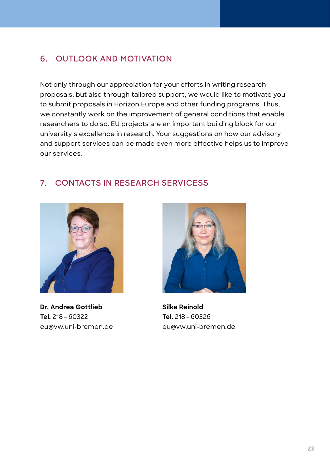# **6. OUTLOOK AND MOTIVATION**

Not only through our appreciation for your efforts in writing research proposals, but also through tailored support, we would like to motivate you to submit proposals in Horizon Europe and other funding programs. Thus, we constantly work on the improvement of general conditions that enable researchers to do so. EU projects are an important building block for our university's excellence in research. Your suggestions on how our advisory and support services can be made even more effective helps us to improve our services.

# **7. CONTACTS IN RESEARCH SERVICESS**



**Dr. Andrea Gottlieb Tel.** 218 – 60322 eu@vw.uni-bremen.de



**Silke Reinold Tel.** 218 – 60326 eu@vw.uni-bremen.de